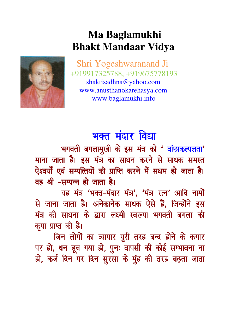## **Ma Baglamukhi Bhakt Mandaar Vidya**



Shri Yogeshwaranand Ji +919917325788, +919675778193 shaktisadhna@yahoo.com www.anusthanokarehasya.com www.baglamukhi.info

## भक्त मंदार विद्या

भगवती बगलामुखी के इस मंत्र को ' वांछाकल्पलता' माना जाता है। इस मंत्र का साधन करने से साधक समस्त ऐश्वर्यों एवं सम्पत्तियों की प्राप्ति करने में सक्षम हो जाता है। वह श्री –सम्पन्न हो जाता है।

यह मंत्र 'भक्त-मंदार मंत्र', 'मंत्र रत्न' आदि नामों से जाना जाता है। अनेकानेक साधक ऐसे हैं, जिन्होंने इस मंत्र की साधना के द्वारा लक्ष्मी स्वरूपा भगवती बगला की कृपा प्राप्त की है।

जिन लोगों का व्यापार पूरी तरह बन्द होने के कगार पर हो, धन डूब गया हो, पुनः वापसी की कोई सम्भावना ना हो, कर्ज दिन पर दिन सुरसा के मुंह की तरह बढ़ता जाता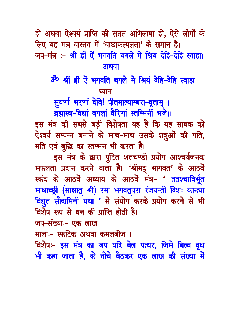हो अथवा ऐश्वर्य प्राप्ति की सतत अभिलाषा हो, ऐसे लोगों के लिए यह मंत्र वास्तव में 'वांछाकल्पलता' के समान है। जप-मंत्र :- श्रीं ईी ऐं भगवति बगले मे श्रियं देहि-देहि स्वाहा। अथवा

30 श्रीं ह्रीं ऐं भगवति बगले मे श्रियं देहि-देहि स्वाहा। ध्यान

सुवर्णा भरणां देवि! पीतमाल्याम्बरा-वृताम् ।

ब्रह्मास्त्र-विद्यां बगलां वैरिणां स्तम्भिनीं भजे।।

इस मंत्र की सबसे बड़ी विशेषता यह है कि यह साधक को ऐश्वर्य सम्पन्न बनाने के साथ-साथ उसके शत्रुओं की गति, मति एवं बुद्धि का स्तम्भन भी करता है।

इस मंत्र के द्वारा पुटित शतचण्डी प्रयोग आश्चर्यजनक सफलता प्रदान करने वाला है। 'श्रीमद् भागवत' के आठवें स्कंद के आठवें अध्याय के आठवें मंत्र- ' ततश्चाविर्भूत साक्षाच्छ्री (साक्षात् श्री) रमा भगवतूपरा रंजयन्ती दिशः कान्त्या विद्युत सौदामिनी यथा ' से संयोग करके प्रयोग करने से भी विशेष रूप से धन की प्राप्ति होती है।

जप-संख्याः- एक लाख

मालाः- स्फटिक अथवा कमलबीज ।

विशेषः- इस मंत्र का जप यदि बेल पत्थर, जिसे बिल्व वृक्ष भी कहा जाता है, के नीचे बैठकर एक लाख की संख्या में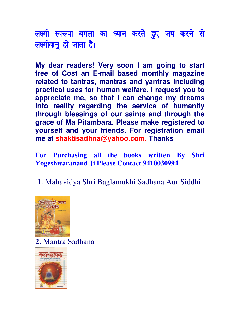लक्ष्मी स्वरूपा बगला का ध्यान करते हुए जप करने से लक्ष्मीवानू हो जाता है।

**My dear readers! Very soon I am going to start free of Cost an E-mail based monthly magazine related to tantras, mantras and yantras including practical uses for human welfare. I request you to appreciate me, so that I can change my dreams into reality regarding the service of humanity through blessings of our saints and through the grace of Ma Pitambara. Please make registered to yourself and your friends. For registration email me at shaktisadhna@yahoo.com. Thanks**

**For Purchasing all the books written By Shri Yogeshwaranand Ji Please Contact 9410030994** 

1. Mahavidya Shri Baglamukhi Sadhana Aur Siddhi



**2.** Mantra Sadhana